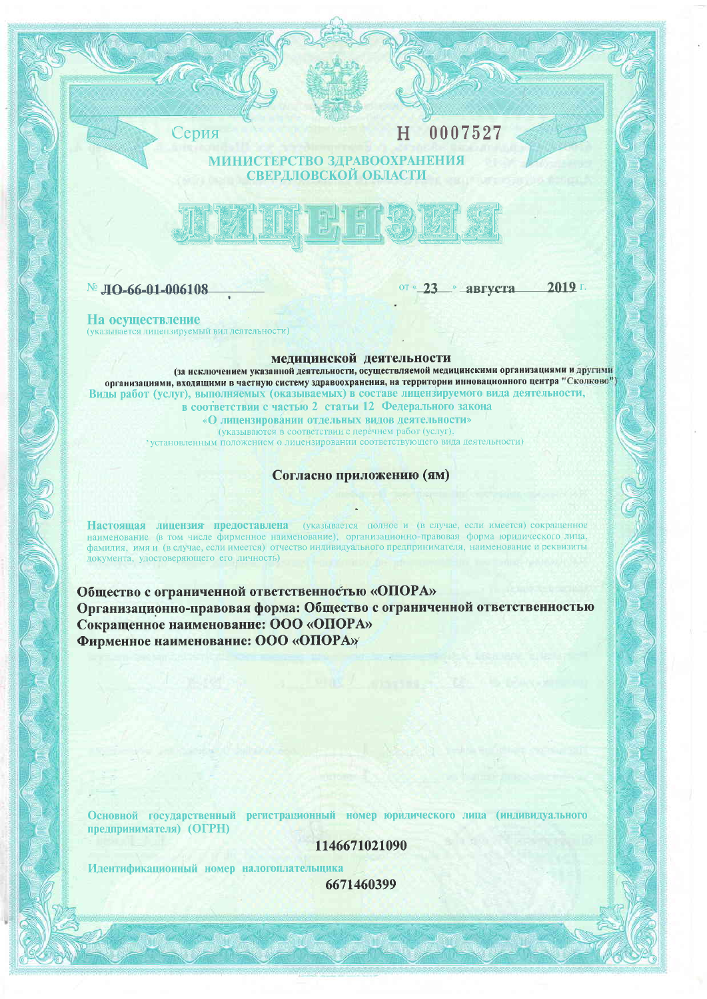Серия

0007527 H

# **ГЕРСТВО ЗДРАВООХРАНЕНИЯ ОВСКОЙ ОБЛАСТИ**



№ ЛО-66-01-006108

от «23 » августа

2019 г.

На осуществление (указывается лицензируемый вид деятельности)

мелицинской деятельности

(за исключением указанной деятельности, осуществляемой медицинскими организациями и другими организациями, входящими в частную систему здравоохранения, на территории инновационного центра "Сколково") Виды работ (услуг), выполняемых (оказываемых) в составе лицензируемого вида деятельности, в соответствии с частью 2 статьи 12 Федерального закона «О лицензировании отдельных видов деятельности» (указываются в соответствии с перечнем работ (услуг), установленным положением о лицензировании соответствующего вида деятельности)

Согласно приложению (ям)

Настоящая лицензия предоставлена (указывается полное и (в случае, если имеется) сокращенное наименование (в том числе фирменное наименование), организационно-правовая форма юридического лица, фамилия, имя и (в случае, если имеется) отчество индивидуального предпринимателя, наименование и реквизиты документа, удостоверяющего его личность)

Общество с ограниченной ответственностью «ОПОРА» Организационно-правовая форма: Общество с ограниченной ответственностью Сокращенное наименование: ООО «ОПОРА» Фирменное наименование: ООО «ОПОРА»

Основной государственный регистрационный номер юридического лица (индивидуального предпринимателя) (ОГРН)

1146671021090

Идентификационный номер налогоплательщика

6671460399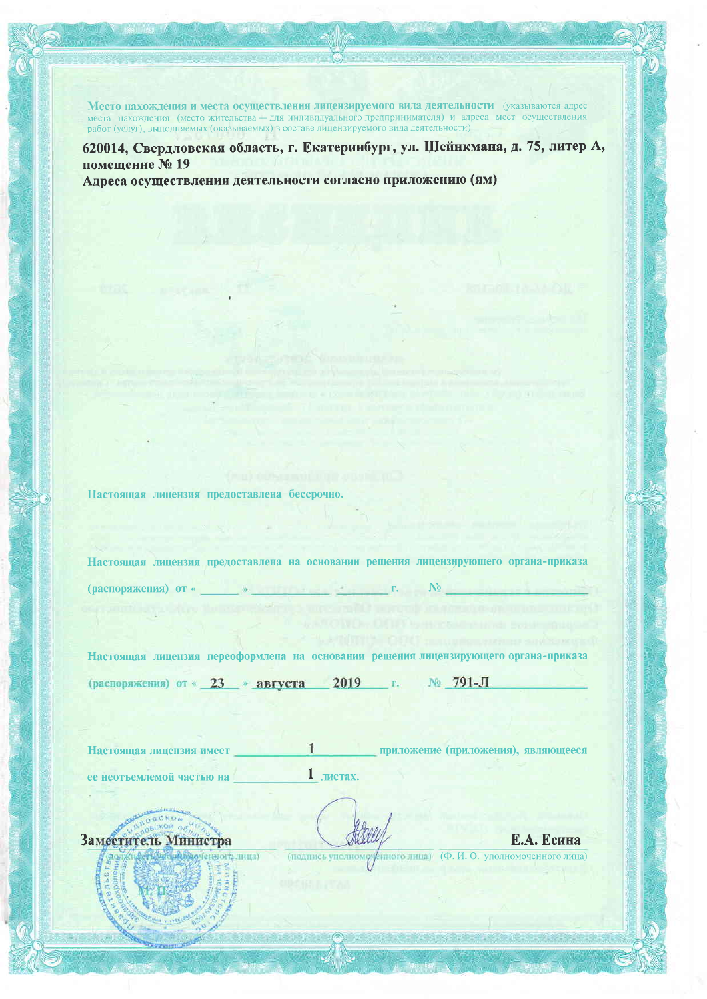Место нахождения и места осуществления лицензируемого вида деятельности (указываются адрес места нахождения (место жительства - для индивидуального предпринимателя) и адреса мест осуществления работ (услуг), выполняемых (оказываемых) в составе лицензируемого вида деятельности)

620014, Свердловская область, г. Екатеринбург, ул. Шейнкмана, д. 75, литер А, помещение № 19 Адреса осуществления деятельности согласно приложению (ям)

Настоящая лицензия предоставлена бессрочно.

Настоящая лицензия предоставлена на основании решения лицензирующего органа-приказа (распоряжения) от «  $N_2$ 

Настоящая лицензия переоформлена на основании решения лицензирующего органа-приказа (распоряжения) от « 23 » августа 2019 № 791-Л  $\langle \Gamma_{\rm e} \rangle$ 

Настоящая лицензия имеет **1 Приложение** (приложения), являющееся ее неотъемлемой частью на  $1$  листах.

Заместитель Министра

(сниого лица)

Е.А. Есина (подпись уполноможниого лица) (Ф. И. О. уполномоченного лица)